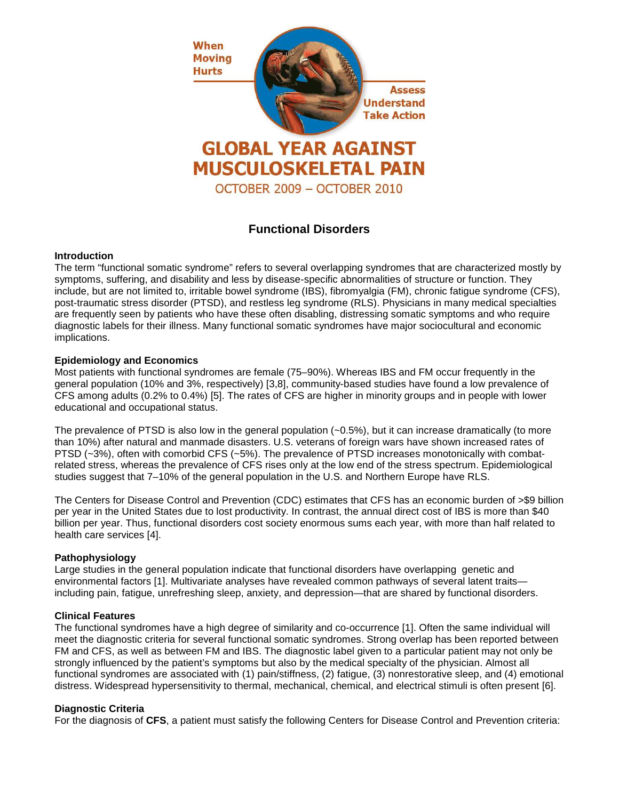

# **Functional Disorders**

#### **Introduction**

The term "functional somatic syndrome" refers to several overlapping syndromes that are characterized mostly by symptoms, suffering, and disability and less by disease-specific abnormalities of structure or function. They include, but are not limited to, irritable bowel syndrome (IBS), fibromyalgia (FM), chronic fatigue syndrome (CFS), post-traumatic stress disorder (PTSD), and restless leg syndrome (RLS). Physicians in many medical specialties are frequently seen by patients who have these often disabling, distressing somatic symptoms and who require diagnostic labels for their illness. Many functional somatic syndromes have major sociocultural and economic implications.

### **Epidemiology and Economics**

Most patients with functional syndromes are female (75–90%). Whereas IBS and FM occur frequently in the general population (10% and 3%, respectively) [3,8], community-based studies have found a low prevalence of CFS among adults (0.2% to 0.4%) [5]. The rates of CFS are higher in minority groups and in people with lower educational and occupational status.

The prevalence of PTSD is also low in the general population (~0.5%), but it can increase dramatically (to more than 10%) after natural and manmade disasters. U.S. veterans of foreign wars have shown increased rates of PTSD (~3%), often with comorbid CFS (~5%). The prevalence of PTSD increases monotonically with combatrelated stress, whereas the prevalence of CFS rises only at the low end of the stress spectrum. Epidemiological studies suggest that 7–10% of the general population in the U.S. and Northern Europe have RLS.

The Centers for Disease Control and Prevention (CDC) estimates that CFS has an economic burden of >\$9 billion per year in the United States due to lost productivity. In contrast, the annual direct cost of IBS is more than \$40 billion per year. Thus, functional disorders cost society enormous sums each year, with more than half related to health care services [4].

#### **Pathophysiology**

Large studies in the general population indicate that functional disorders have overlapping genetic and environmental factors [1]. Multivariate analyses have revealed common pathways of several latent traits including pain, fatigue, unrefreshing sleep, anxiety, and depression—that are shared by functional disorders.

#### **Clinical Features**

The functional syndromes have a high degree of similarity and co-occurrence [1]. Often the same individual will meet the diagnostic criteria for several functional somatic syndromes. Strong overlap has been reported between FM and CFS, as well as between FM and IBS. The diagnostic label given to a particular patient may not only be strongly influenced by the patient's symptoms but also by the medical specialty of the physician. Almost all functional syndromes are associated with (1) pain/stiffness, (2) fatigue, (3) nonrestorative sleep, and (4) emotional distress. Widespread hypersensitivity to thermal, mechanical, chemical, and electrical stimuli is often present [6].

## **Diagnostic Criteria**

For the diagnosis of **CFS**, a patient must satisfy the following Centers for Disease Control and Prevention criteria: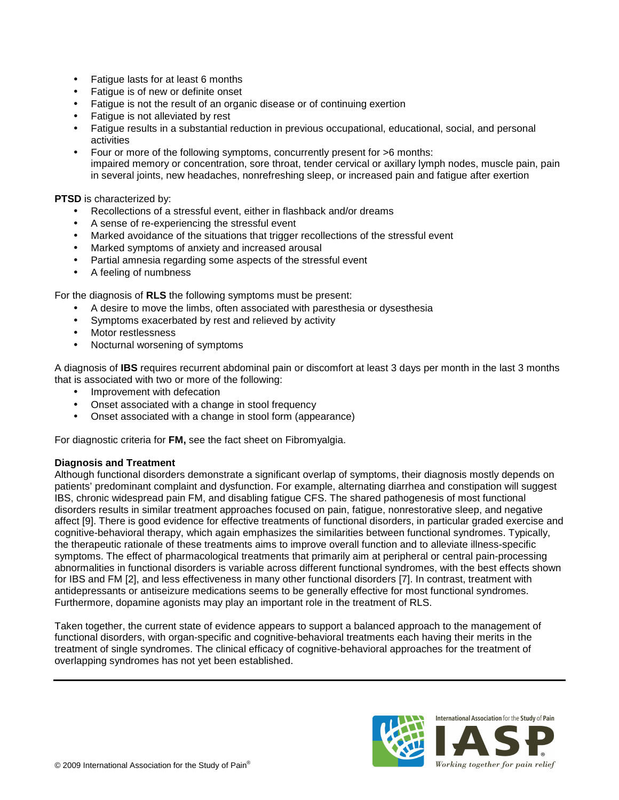- Fatigue lasts for at least 6 months
- Fatigue is of new or definite onset
- Fatigue is not the result of an organic disease or of continuing exertion
- Fatigue is not alleviated by rest
- Fatigue results in a substantial reduction in previous occupational, educational, social, and personal activities
- Four or more of the following symptoms, concurrently present for >6 months: impaired memory or concentration, sore throat, tender cervical or axillary lymph nodes, muscle pain, pain in several joints, new headaches, nonrefreshing sleep, or increased pain and fatigue after exertion

**PTSD** is characterized by:

- Recollections of a stressful event, either in flashback and/or dreams
- A sense of re-experiencing the stressful event
- Marked avoidance of the situations that trigger recollections of the stressful event
- Marked symptoms of anxiety and increased arousal
- Partial amnesia regarding some aspects of the stressful event
- A feeling of numbness

For the diagnosis of **RLS** the following symptoms must be present:

- A desire to move the limbs, often associated with paresthesia or dysesthesia
- Symptoms exacerbated by rest and relieved by activity
- Motor restlessness
- Nocturnal worsening of symptoms

A diagnosis of **IBS** requires recurrent abdominal pain or discomfort at least 3 days per month in the last 3 months that is associated with two or more of the following:

- Improvement with defecation
- Onset associated with a change in stool frequency
- Onset associated with a change in stool form (appearance)

For diagnostic criteria for **FM,** see the fact sheet on Fibromyalgia.

#### **Diagnosis and Treatment**

Although functional disorders demonstrate a significant overlap of symptoms, their diagnosis mostly depends on patients' predominant complaint and dysfunction. For example, alternating diarrhea and constipation will suggest IBS, chronic widespread pain FM, and disabling fatigue CFS. The shared pathogenesis of most functional disorders results in similar treatment approaches focused on pain, fatigue, nonrestorative sleep, and negative affect [9]. There is good evidence for effective treatments of functional disorders, in particular graded exercise and cognitive-behavioral therapy, which again emphasizes the similarities between functional syndromes. Typically, the therapeutic rationale of these treatments aims to improve overall function and to alleviate illness-specific symptoms. The effect of pharmacological treatments that primarily aim at peripheral or central pain-processing abnormalities in functional disorders is variable across different functional syndromes, with the best effects shown for IBS and FM [2], and less effectiveness in many other functional disorders [7]. In contrast, treatment with antidepressants or antiseizure medications seems to be generally effective for most functional syndromes. Furthermore, dopamine agonists may play an important role in the treatment of RLS.

Taken together, the current state of evidence appears to support a balanced approach to the management of functional disorders, with organ-specific and cognitive-behavioral treatments each having their merits in the treatment of single syndromes. The clinical efficacy of cognitive-behavioral approaches for the treatment of overlapping syndromes has not yet been established.